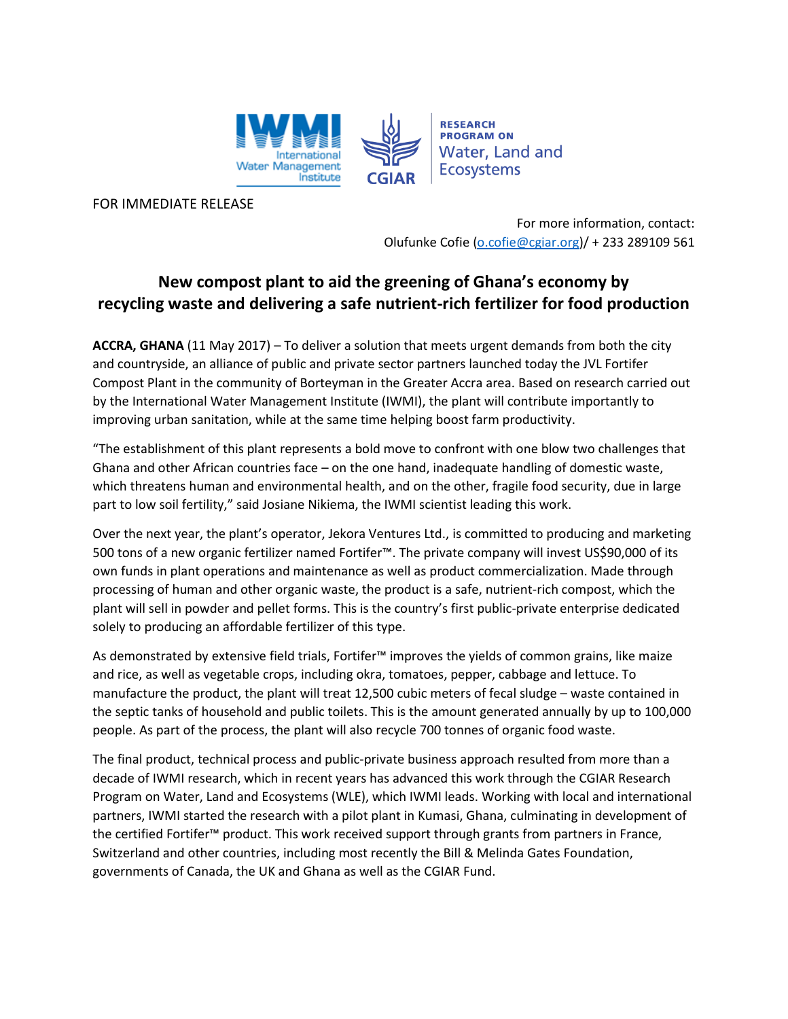

FOR IMMEDIATE RELEASE

For more information, contact: Olufunke Cofie [\(o.cofie@cgiar.org\)](mailto:email)/ + 233 289109 561

## **New compost plant to aid the greening of Ghana's economy by recycling waste and delivering a safe nutrient-rich fertilizer for food production**

**ACCRA, GHANA** (11 May 2017) – To deliver a solution that meets urgent demands from both the city and countryside, an alliance of public and private sector partners launched today the JVL Fortifer Compost Plant in the community of Borteyman in the Greater Accra area. Based on research carried out by the International Water Management Institute (IWMI), the plant will contribute importantly to improving urban sanitation, while at the same time helping boost farm productivity.

"The establishment of this plant represents a bold move to confront with one blow two challenges that Ghana and other African countries face – on the one hand, inadequate handling of domestic waste, which threatens human and environmental health, and on the other, fragile food security, due in large part to low soil fertility," said Josiane Nikiema, the IWMI scientist leading this work.

Over the next year, the plant's operator, Jekora Ventures Ltd., is committed to producing and marketing 500 tons of a new organic fertilizer named Fortifer™. The private company will invest US\$90,000 of its own funds in plant operations and maintenance as well as product commercialization. Made through processing of human and other organic waste, the product is a safe, nutrient-rich compost, which the plant will sell in powder and pellet forms. This is the country's first public-private enterprise dedicated solely to producing an affordable fertilizer of this type.

As demonstrated by extensive field trials, Fortifer™ improves the yields of common grains, like maize and rice, as well as vegetable crops, including okra, tomatoes, pepper, cabbage and lettuce. To manufacture the product, the plant will treat 12,500 cubic meters of fecal sludge – waste contained in the septic tanks of household and public toilets. This is the amount generated annually by up to 100,000 people. As part of the process, the plant will also recycle 700 tonnes of organic food waste.

The final product, technical process and public-private business approach resulted from more than a decade of IWMI research, which in recent years has advanced this work through the CGIAR Research Program on Water, Land and Ecosystems (WLE), which IWMI leads. Working with local and international partners, IWMI started the research with a pilot plant in Kumasi, Ghana, culminating in development of the certified Fortifer™ product. This work received support through grants from partners in France, Switzerland and other countries, including most recently the Bill & Melinda Gates Foundation, governments of Canada, the UK and Ghana as well as the CGIAR Fund.